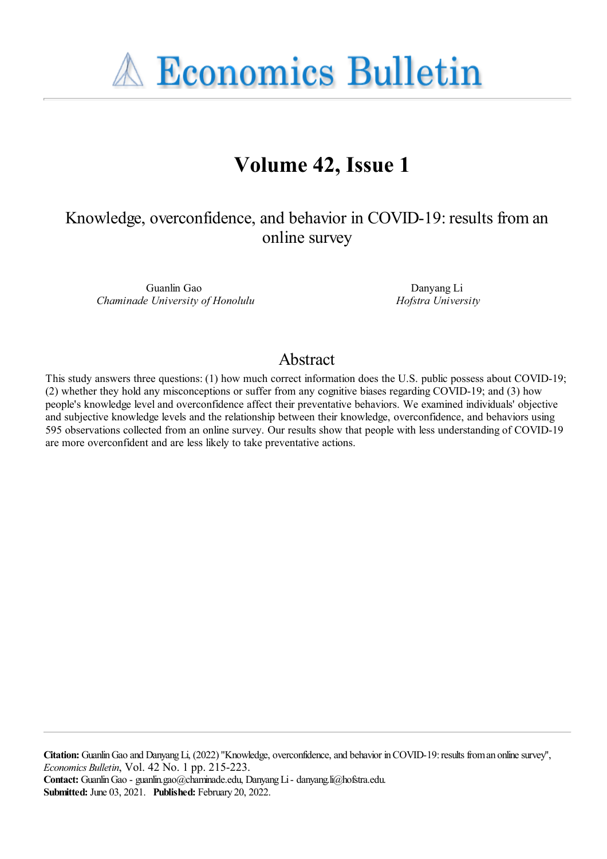**A Economics Bulletin** 

# **Volume 42, Issue 1**

Knowledge, overconfidence, and behavior in COVID-19: results froman online survey

Guanlin Gao *Chaminade University of Honolulu*

Danyang Li *Hofstra University*

## Abstract

This study answers three questions: (1) how much correct information does the U.S. public possess about COVID-19; (2) whether they hold any misconceptions or suffer from any cognitive biases regarding COVID-19; and (3) how people's knowledge level and overconfidence affect their preventative behaviors. We examined individuals' objective and subjective knowledge levels and the relationship between their knowledge, overconfidence, and behaviors using 595 observations collected from an online survey. Our results show that people with less understanding of COVID-19 are more overconfident and are less likely to take preventative actions.

**Citation:** Guanlin Gao and Danyang Li, (2022) "Knowledge, overconfidence, and behavior in COVID-19: results from an online survey", *Economics Bulletin*, Vol. 42 No. 1 pp. 215-223. Contact: Guanlin Gao - guanlin.gao@chaminade.edu, Danyang Li - danyang.li@hofstra.edu. **Submitted:** June 03, 2021. **Published:** February 20, 2022.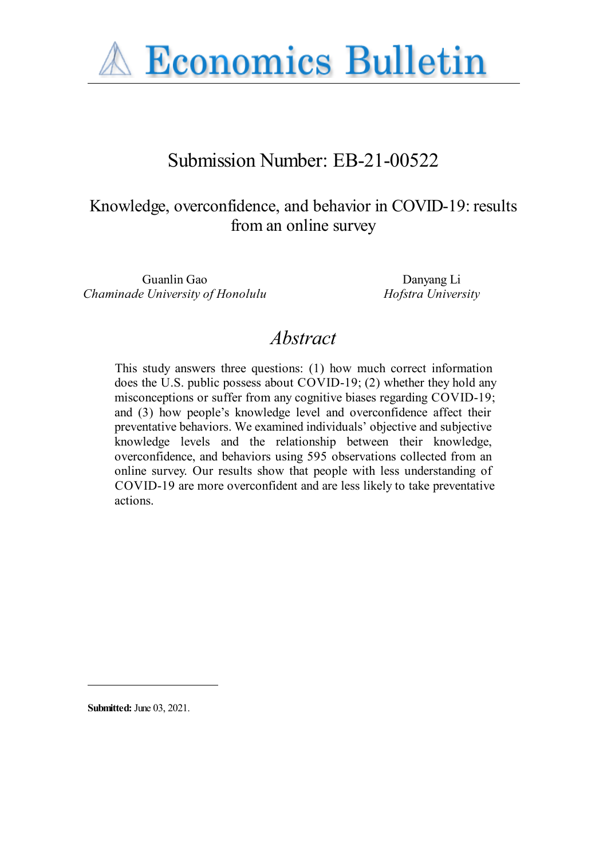

# Submission Number: EB-21-00522

## Knowledge, overconfidence, and behavior in COVID-19: results from an online survey

Guanlin Gao Danyang Li *Chaminade University of Honolulu Hofstra University*

## *Abstract*

This study answers three questions: (1) how much correct information does the U.S. public possess about COVID-19; (2) whether they hold any misconceptions or suffer from any cognitive biases regarding COVID-19; and (3) how people's knowledge level and overconfidence affect their preventative behaviors. We examined individuals' objective and subjective knowledge levels and the relationship between their knowledge, overconfidence, and behaviors using 595 observations collected from an online survey. Our results show that people with less understanding of COVID-19 are more overconfident and are less likely to take preventative actions.

**Submitted:** June 03, 2021.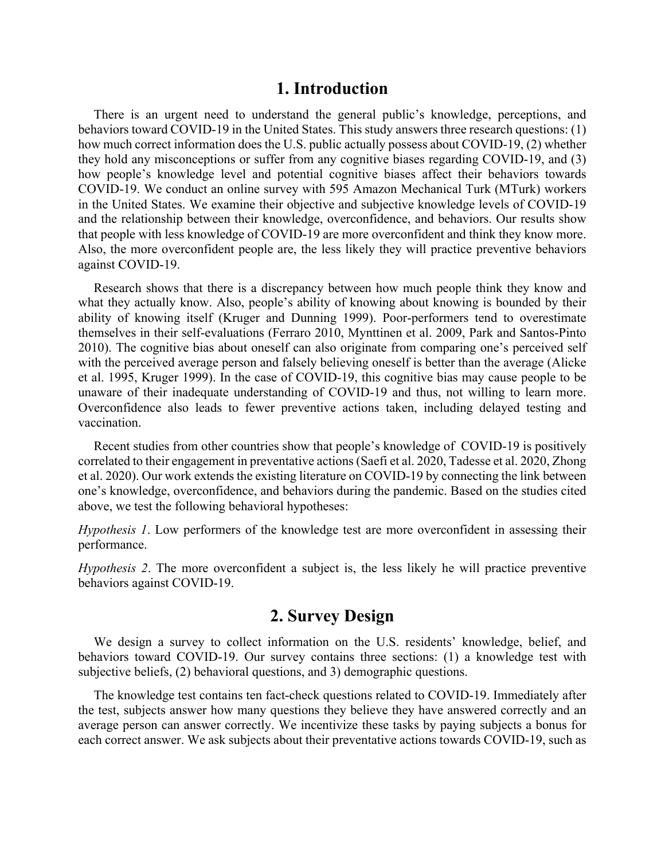### **1. Introduction**

There is an urgent need to understand the general public's knowledge, perceptions, and behaviors toward COVID-19 in the United States. This study answers three research questions: (1) how much correct information does the U.S. public actually possess about COVID-19, (2) whether they hold any misconceptions or suffer from any cognitive biases regarding COVID-19, and (3) how people's knowledge level and potential cognitive biases affect their behaviors towards COVID-19. We conduct an online survey with 595 Amazon Mechanical Turk (MTurk) workers in the United States. We examine their objective and subjective knowledge levels of COVID-19 and the relationship between their knowledge, overconfidence, and behaviors. Our results show that people with less knowledge of COVID-19 are more overconfident and think they know more. Also, the more overconfident people are, the less likely they will practice preventive behaviors against COVID-19.

Research shows that there is a discrepancy between how much people think they know and what they actually know. Also, people's ability of knowing about knowing is bounded by their ability of knowing itself (Kruger and Dunning 1999). Poor-performers tend to overestimate themselves in their self-evaluations (Ferraro 2010, Mynttinen et al. 2009, Park and Santos-Pinto 2010). The cognitive bias about oneself can also originate from comparing one's perceived self with the perceived average person and falsely believing oneself is better than the average (Alicke et al. 1995, Kruger 1999). In the case of COVID-19, this cognitive bias may cause people to be unaware of their inadequate understanding of COVID-19 and thus, not willing to learn more. Overconfidence also leads to fewer preventive actions taken, including delayed testing and vaccination.

Recent studies from other countries show that people's knowledge of COVID-19 is positively correlated to their engagement in preventative actions (Saefi et al. 2020, Tadesse et al. 2020, Zhong et al. 2020). Our work extends the existing literature on COVID-19 by connecting the link between one's knowledge, overconfidence, and behaviors during the pandemic. Based on the studies cited above, we test the following behavioral hypotheses:

*Hypothesis 1*. Low performers of the knowledge test are more overconfident in assessing their performance.

*Hypothesis 2*. The more overconfident a subject is, the less likely he will practice preventive behaviors against COVID-19.

## **2. Survey Design**

We design a survey to collect information on the U.S. residents' knowledge, belief, and behaviors toward COVID-19. Our survey contains three sections: (1) a knowledge test with subjective beliefs, (2) behavioral questions, and 3) demographic questions.

The knowledge test contains ten fact-check questions related to COVID-19. Immediately after the test, subjects answer how many questions they believe they have answered correctly and an average person can answer correctly. We incentivize these tasks by paying subjects a bonus for each correct answer. We ask subjects about their preventative actions towards COVID-19, such as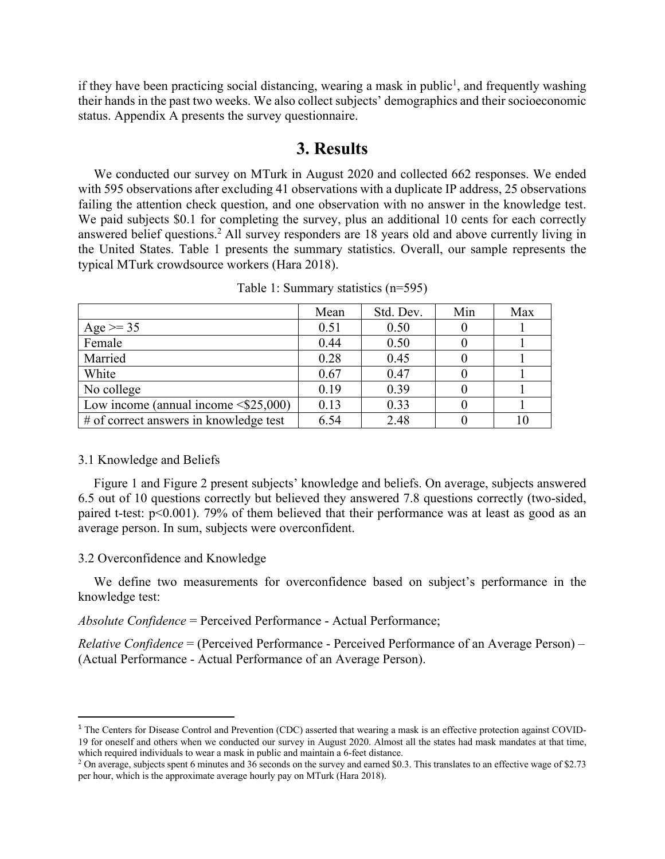if they have been practicing social distancing, wearing a mask in public<sup>1</sup>, and frequently washing their hands in the past two weeks. We also collect subjects' demographics and their socioeconomic status. Appendix A presents the survey questionnaire.

### **3. Results**

We conducted our survey on MTurk in August 2020 and collected 662 responses. We ended with 595 observations after excluding 41 observations with a duplicate IP address, 25 observations failing the attention check question, and one observation with no answer in the knowledge test. We paid subjects \$0.1 for completing the survey, plus an additional 10 cents for each correctly answered belief questions.<sup>2</sup> All survey responders are 18 years old and above currently living in the United States. Table 1 presents the summary statistics. Overall, our sample represents the typical MTurk crowdsource workers (Hara 2018).

|                                            | Mean | Std. Dev. | Min | Max |
|--------------------------------------------|------|-----------|-----|-----|
| Age $>= 35$                                | 0.51 | 0.50      |     |     |
| Female                                     | 0.44 | 0.50      |     |     |
| Married                                    | 0.28 | 0.45      |     |     |
| White                                      | 0.67 | 0.47      |     |     |
| No college                                 | 0.19 | 0.39      |     |     |
| Low income (annual income $\leq$ \$25,000) | 0.13 | 0.33      |     |     |
| # of correct answers in knowledge test     | 6.54 | 2.48      |     |     |

Table 1: Summary statistics (n=595)

#### 3.1 Knowledge and Beliefs

Figure 1 and Figure 2 present subjects' knowledge and beliefs. On average, subjects answered 6.5 out of 10 questions correctly but believed they answered 7.8 questions correctly (two-sided, paired t-test: p<0.001). 79% of them believed that their performance was at least as good as an average person. In sum, subjects were overconfident.

#### 3.2 Overconfidence and Knowledge

We define two measurements for overconfidence based on subject's performance in the knowledge test:

*Absolute Confidence* = Perceived Performance - Actual Performance;

*Relative Confidence* = (Perceived Performance - Perceived Performance of an Average Person) – (Actual Performance - Actual Performance of an Average Person).

<sup>&</sup>lt;sup>1</sup> The Centers for Disease Control and Prevention (CDC) asserted that wearing a mask is an effective protection against COVID-19 for oneself and others when we conducted our survey in August 2020. Almost all the states had mask mandates at that time, which required individuals to wear a mask in public and maintain a 6-feet distance.

<sup>&</sup>lt;sup>2</sup> On average, subjects spent 6 minutes and 36 seconds on the survey and earned \$0.3. This translates to an effective wage of \$2.73 per hour, which is the approximate average hourly pay on MTurk (Hara 2018).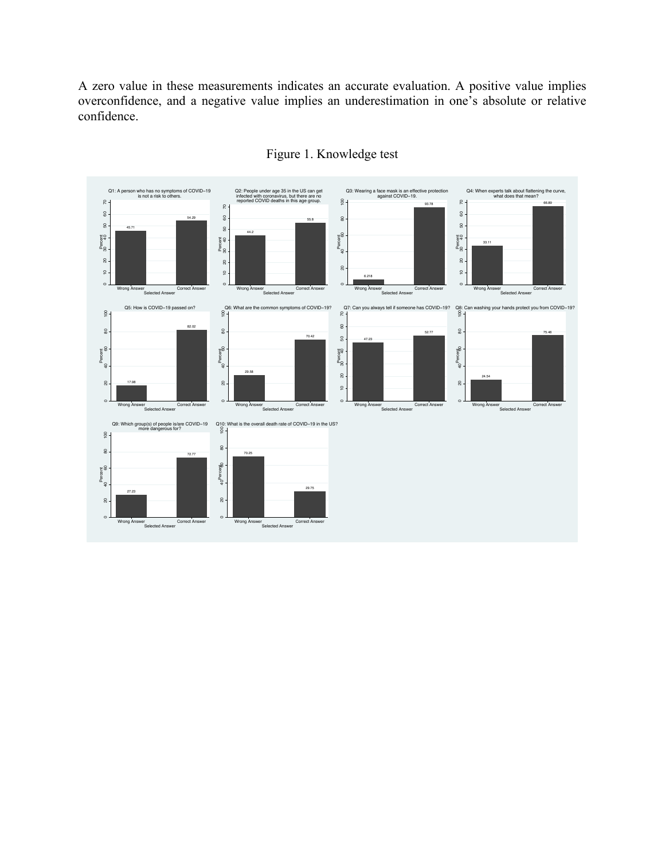A zero value in these measurements indicates an accurate evaluation. A positive value implies overconfidence, and a negative value implies an underestimation in one's absolute or relative confidence.



### Figure 1. Knowledge test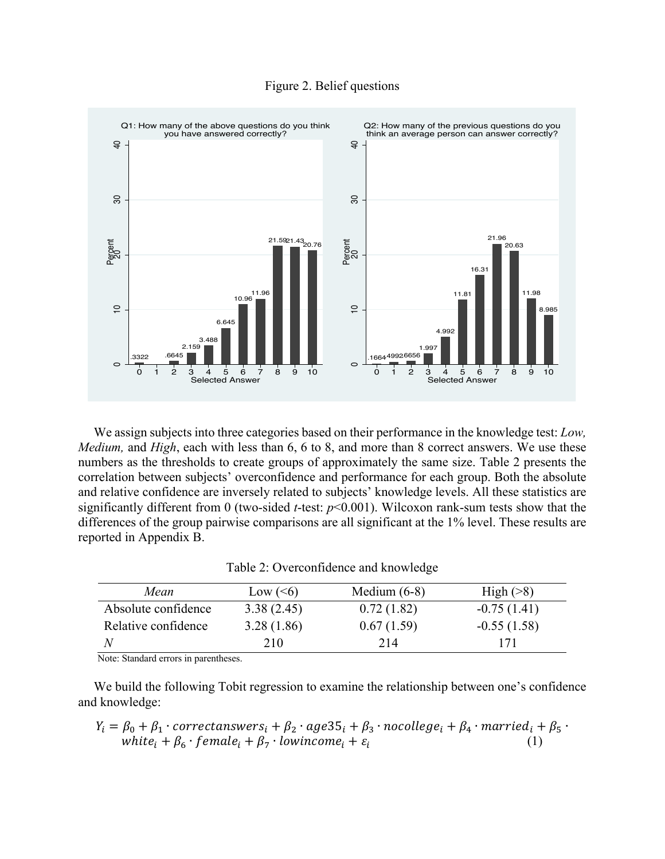



We assign subjects into three categories based on their performance in the knowledge test: *Low, Medium,* and *High*, each with less than 6, 6 to 8, and more than 8 correct answers. We use these numbers as the thresholds to create groups of approximately the same size. Table 2 presents the correlation between subjects' overconfidence and performance for each group. Both the absolute and relative confidence are inversely related to subjects' knowledge levels. All these statistics are significantly different from 0 (two-sided *t*-test: *p*<0.001). Wilcoxon rank-sum tests show that the differences of the group pairwise comparisons are all significant at the 1% level. These results are reported in Appendix B.

| Table 2: Overconfidence and knowledge |  |
|---------------------------------------|--|
|---------------------------------------|--|

| Mean                | Low $(6)$  | Medium $(6-8)$ | High $($ $>$ 8 $)$ |
|---------------------|------------|----------------|--------------------|
| Absolute confidence | 3.38(2.45) | 0.72(1.82)     | $-0.75(1.41)$      |
| Relative confidence | 3.28(1.86) | 0.67(1.59)     | $-0.55(1.58)$      |
|                     | 210        | 214            | 171                |

Note: Standard errors in parentheses.

We build the following Tobit regression to examine the relationship between one's confidence and knowledge:

$$
Y_i = \beta_0 + \beta_1 \cdot \text{correctanswers}_i + \beta_2 \cdot \text{age35}_i + \beta_3 \cdot \text{nocollege}_i + \beta_4 \cdot \text{married}_i + \beta_5 \cdot \text{white}_i + \beta_6 \cdot \text{female}_i + \beta_7 \cdot \text{lowincome}_i + \varepsilon_i \tag{1}
$$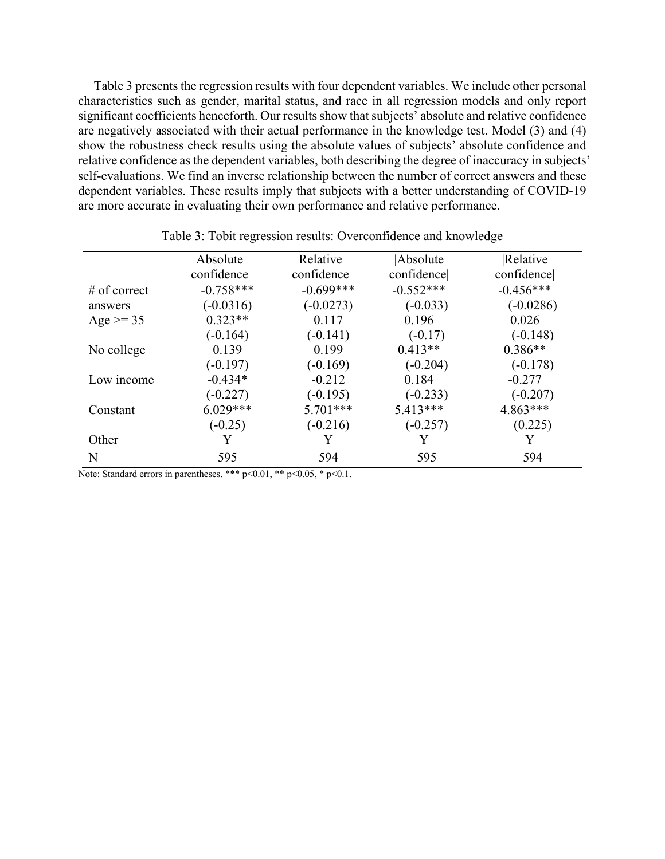Table 3 presents the regression results with four dependent variables. We include other personal characteristics such as gender, marital status, and race in all regression models and only report significant coefficients henceforth. Our results show that subjects' absolute and relative confidence are negatively associated with their actual performance in the knowledge test. Model (3) and (4) show the robustness check results using the absolute values of subjects' absolute confidence and relative confidence as the dependent variables, both describing the degree of inaccuracy in subjects' self-evaluations. We find an inverse relationship between the number of correct answers and these dependent variables. These results imply that subjects with a better understanding of COVID-19 are more accurate in evaluating their own performance and relative performance.

|                | Absolute    | Relative    | Absolute    | Relative    |
|----------------|-------------|-------------|-------------|-------------|
|                | confidence  | confidence  | confidence  | confidence  |
| $#$ of correct | $-0.758***$ | $-0.699***$ | $-0.552***$ | $-0.456***$ |
| answers        | $(-0.0316)$ | $(-0.0273)$ | $(-0.033)$  | $(-0.0286)$ |
| Age $>= 35$    | $0.323**$   | 0.117       | 0.196       | 0.026       |
|                | $(-0.164)$  | $(-0.141)$  | $(-0.17)$   | $(-0.148)$  |
| No college     | 0.139       | 0.199       | $0.413**$   | $0.386**$   |
|                | $(-0.197)$  | $(-0.169)$  | $(-0.204)$  | $(-0.178)$  |
| Low income     | $-0.434*$   | $-0.212$    | 0.184       | $-0.277$    |
|                | $(-0.227)$  | $(-0.195)$  | $(-0.233)$  | $(-0.207)$  |
| Constant       | $6.029***$  | $5.701***$  | $5.413***$  | $4.863***$  |
|                | $(-0.25)$   | $(-0.216)$  | $(-0.257)$  | (0.225)     |
| Other          | Y           |             |             |             |
| N              | 595         | 594         | 595         | 594         |
|                |             |             |             |             |

Table 3: Tobit regression results: Overconfidence and knowledge

Note: Standard errors in parentheses. \*\*\* p<0.01, \*\* p<0.05, \* p<0.1.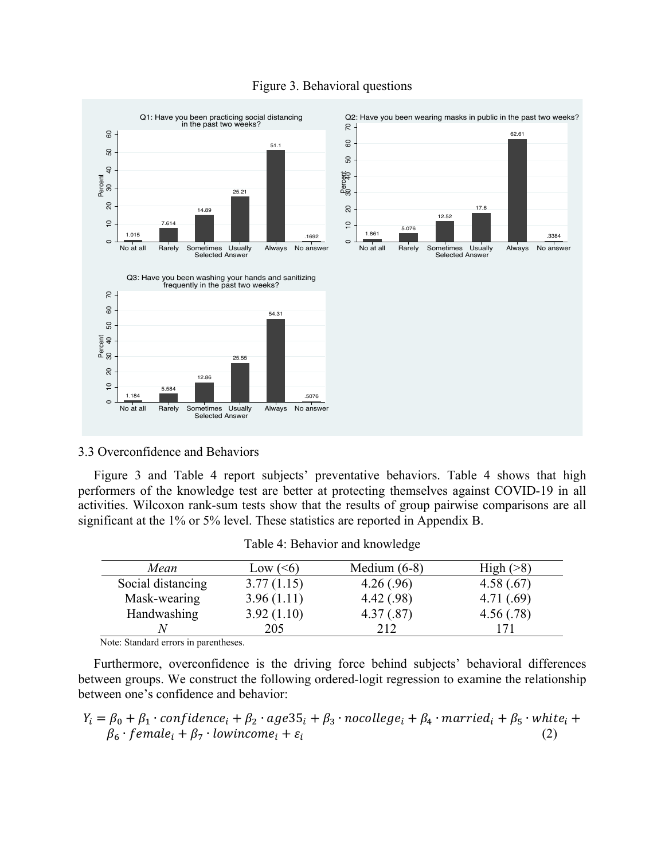

#### Figure 3. Behavioral questions

#### 3.3 Overconfidence and Behaviors

Figure 3 and Table 4 report subjects' preventative behaviors. Table 4 shows that high performers of the knowledge test are better at protecting themselves against COVID-19 in all activities. Wilcoxon rank-sum tests show that the results of group pairwise comparisons are all significant at the 1% or 5% level. These statistics are reported in Appendix B.

| Mean              | Low $(6)$  | Medium $(6-8)$ | High (>8)  |
|-------------------|------------|----------------|------------|
| Social distancing | 3.77(1.15) | 4.26(.96)      | 4.58(.67)  |
| Mask-wearing      | 3.96(1.11) | 4.42(.98)      | 4.71(0.69) |
| Handwashing       | 3.92(1.10) | 4.37(.87)      | 4.56(.78)  |
|                   | 205        | 212            |            |

Table 4: Behavior and knowledge

Note: Standard errors in parentheses.

Furthermore, overconfidence is the driving force behind subjects' behavioral differences between groups. We construct the following ordered-logit regression to examine the relationship between one's confidence and behavior:

$$
Y_i = \beta_0 + \beta_1 \cdot confidence_i + \beta_2 \cdot age35_i + \beta_3 \cdot nocollege_i + \beta_4 \cdot married_i + \beta_5 \cdot white_i + \beta_6 \cdot female_i + \beta_7 \cdot lowincome_i + \varepsilon_i
$$
\n(2)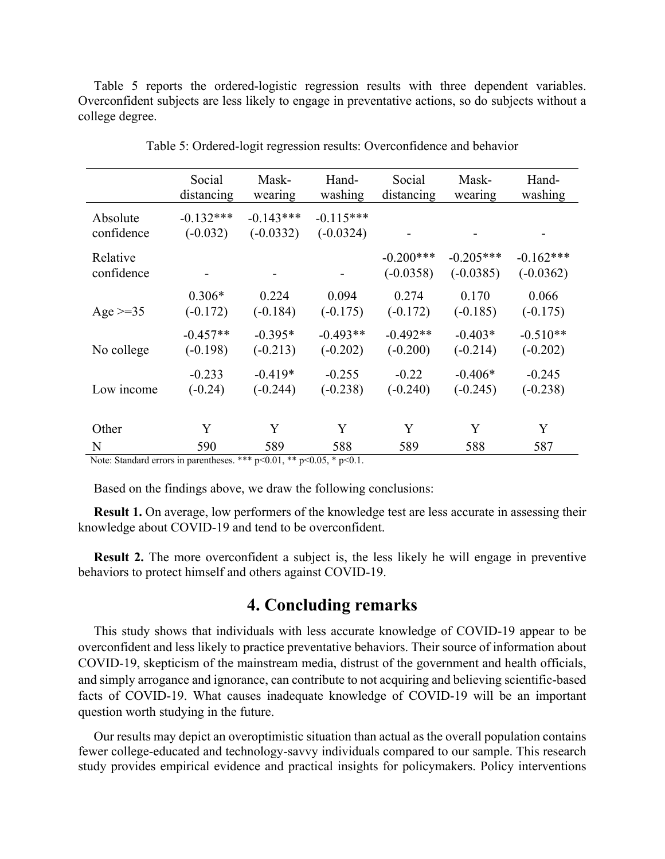Table 5 reports the ordered-logistic regression results with three dependent variables. Overconfident subjects are less likely to engage in preventative actions, so do subjects without a college degree.

|                                                                         | Social<br>distancing      | Mask-<br>wearing           | Hand-<br>washing           | Social<br>distancing | Mask-<br>wearing | Hand-<br>washing |  |
|-------------------------------------------------------------------------|---------------------------|----------------------------|----------------------------|----------------------|------------------|------------------|--|
|                                                                         |                           |                            |                            |                      |                  |                  |  |
| Absolute<br>confidence                                                  | $-0.132***$<br>$(-0.032)$ | $-0.143***$<br>$(-0.0332)$ | $-0.115***$<br>$(-0.0324)$ |                      |                  |                  |  |
|                                                                         |                           |                            |                            |                      |                  |                  |  |
| Relative                                                                |                           |                            |                            | $-0.200***$          | $-0.205***$      | $-0.162***$      |  |
| confidence                                                              |                           |                            |                            | $(-0.0358)$          | $(-0.0385)$      | $(-0.0362)$      |  |
|                                                                         | $0.306*$                  | 0.224                      | 0.094                      | 0.274                | 0.170            | 0.066            |  |
|                                                                         |                           |                            |                            |                      |                  |                  |  |
| Age $>=35$                                                              | $(-0.172)$                | $(-0.184)$                 | $(-0.175)$                 | $(-0.172)$           | $(-0.185)$       | $(-0.175)$       |  |
|                                                                         | $-0.457**$                | $-0.395*$                  | $-0.493**$                 | $-0.492**$           | $-0.403*$        | $-0.510**$       |  |
| No college                                                              | $(-0.198)$                | $(-0.213)$                 | $(-0.202)$                 | $(-0.200)$           | $(-0.214)$       | $(-0.202)$       |  |
|                                                                         |                           |                            |                            |                      |                  |                  |  |
|                                                                         | $-0.233$                  | $-0.419*$                  | $-0.255$                   | $-0.22$              | $-0.406*$        | $-0.245$         |  |
| Low income                                                              | $(-0.24)$                 | $(-0.244)$                 | $(-0.238)$                 | $(-0.240)$           | $(-0.245)$       | $(-0.238)$       |  |
|                                                                         |                           |                            |                            |                      |                  |                  |  |
|                                                                         |                           |                            |                            |                      |                  |                  |  |
| Other                                                                   | Y                         | Y                          | Y                          | Y                    | Y                | Y                |  |
| N                                                                       | 590                       | 589                        | 588                        | 589                  | 588              | 587              |  |
| Nota: Standard arrang in paranthagas *** $n<0.01$ ** $n<0.05$ * $n<0.1$ |                           |                            |                            |                      |                  |                  |  |

|  |  | Table 5: Ordered-logit regression results: Overconfidence and behavior |  |  |  |
|--|--|------------------------------------------------------------------------|--|--|--|
|  |  |                                                                        |  |  |  |

Note: Standard errors in parentheses. \*\*\*  $p<0.01$ , \*\*  $p<0.05$ , \*  $p<0.1$ .

Based on the findings above, we draw the following conclusions:

**Result 1.** On average, low performers of the knowledge test are less accurate in assessing their knowledge about COVID-19 and tend to be overconfident.

**Result 2.** The more overconfident a subject is, the less likely he will engage in preventive behaviors to protect himself and others against COVID-19.

## **4. Concluding remarks**

This study shows that individuals with less accurate knowledge of COVID-19 appear to be overconfident and less likely to practice preventative behaviors. Their source of information about COVID-19, skepticism of the mainstream media, distrust of the government and health officials, and simply arrogance and ignorance, can contribute to not acquiring and believing scientific-based facts of COVID-19. What causes inadequate knowledge of COVID-19 will be an important question worth studying in the future.

Our results may depict an overoptimistic situation than actual as the overall population contains fewer college-educated and technology-savvy individuals compared to our sample. This research study provides empirical evidence and practical insights for policymakers. Policy interventions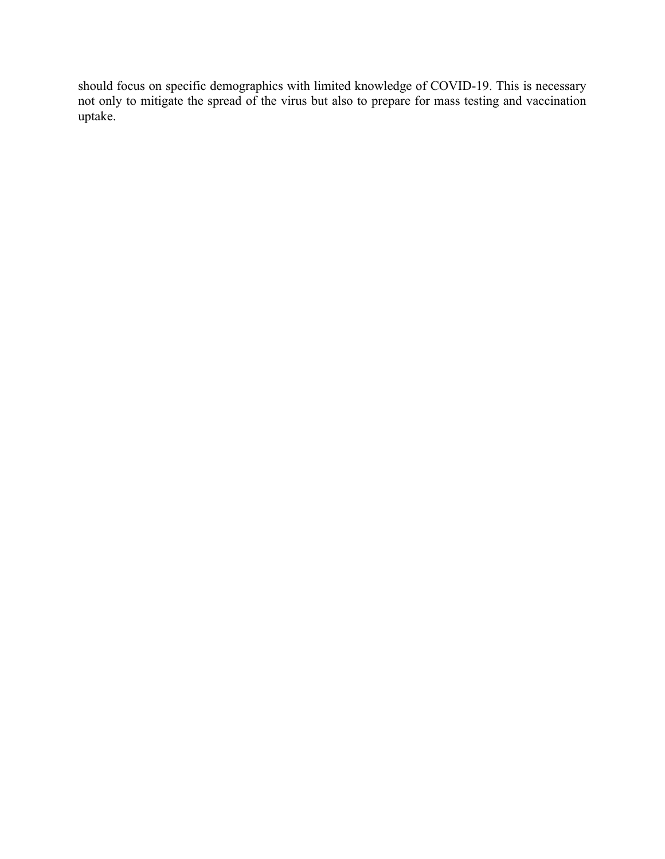should focus on specific demographics with limited knowledge of COVID-19. This is necessary not only to mitigate the spread of the virus but also to prepare for mass testing and vaccination uptake.